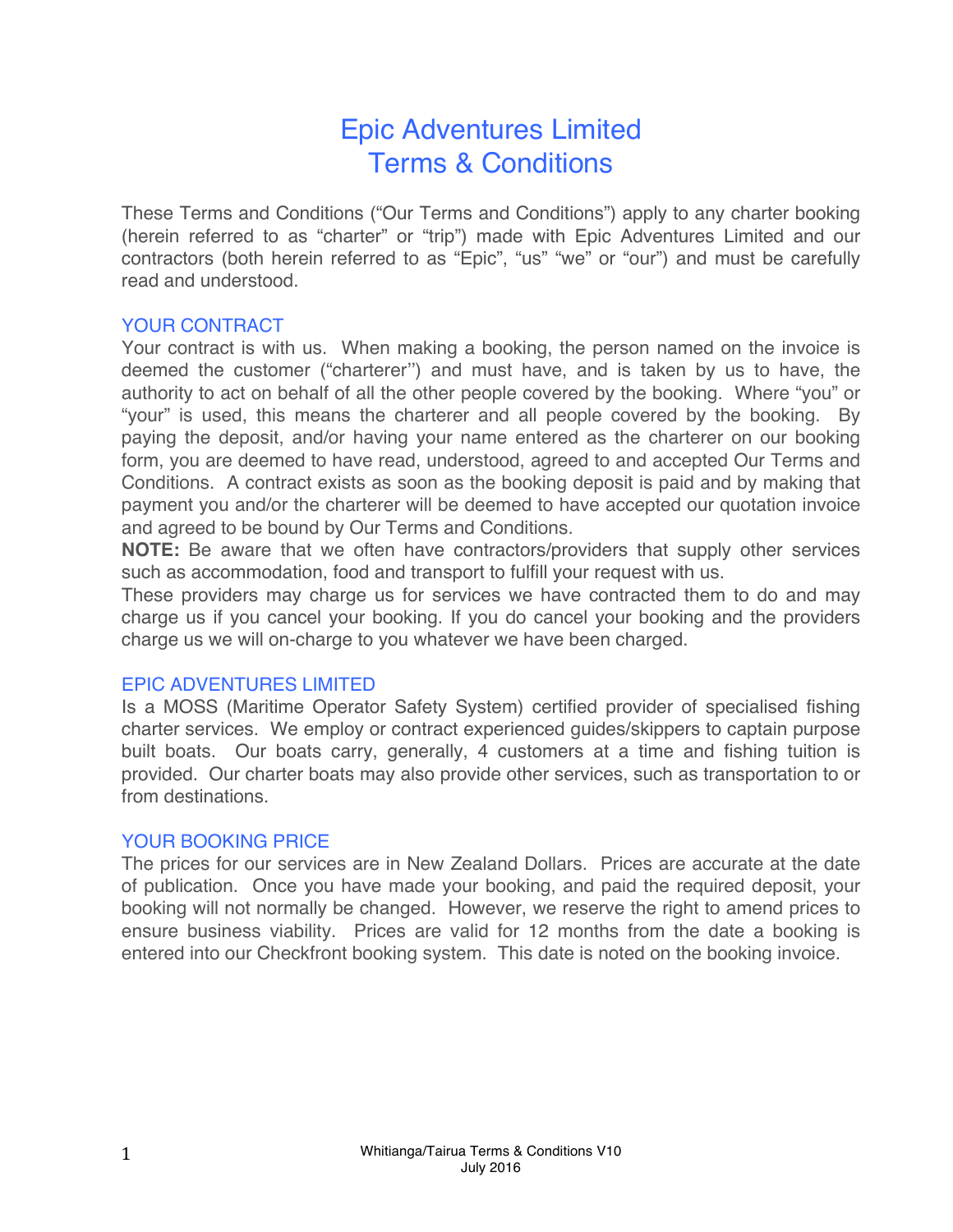# Epic Adventures Limited Terms & Conditions

These Terms and Conditions ("Our Terms and Conditions") apply to any charter booking (herein referred to as "charter" or "trip") made with Epic Adventures Limited and our contractors (both herein referred to as "Epic", "us" "we" or "our") and must be carefully read and understood.

## YOUR CONTRACT

Your contract is with us. When making a booking, the person named on the invoice is deemed the customer ("charterer'') and must have, and is taken by us to have, the authority to act on behalf of all the other people covered by the booking. Where "you" or "your" is used, this means the charterer and all people covered by the booking. By paying the deposit, and/or having your name entered as the charterer on our booking form, you are deemed to have read, understood, agreed to and accepted Our Terms and Conditions. A contract exists as soon as the booking deposit is paid and by making that payment you and/or the charterer will be deemed to have accepted our quotation invoice and agreed to be bound by Our Terms and Conditions.

**NOTE:** Be aware that we often have contractors/providers that supply other services such as accommodation, food and transport to fulfill your request with us.

These providers may charge us for services we have contracted them to do and may charge us if you cancel your booking. If you do cancel your booking and the providers charge us we will on-charge to you whatever we have been charged.

## EPIC ADVENTURES LIMITED

Is a MOSS (Maritime Operator Safety System) certified provider of specialised fishing charter services. We employ or contract experienced guides/skippers to captain purpose built boats. Our boats carry, generally, 4 customers at a time and fishing tuition is provided. Our charter boats may also provide other services, such as transportation to or from destinations.

## YOUR BOOKING PRICE

The prices for our services are in New Zealand Dollars. Prices are accurate at the date of publication. Once you have made your booking, and paid the required deposit, your booking will not normally be changed. However, we reserve the right to amend prices to ensure business viability. Prices are valid for 12 months from the date a booking is entered into our Checkfront booking system. This date is noted on the booking invoice.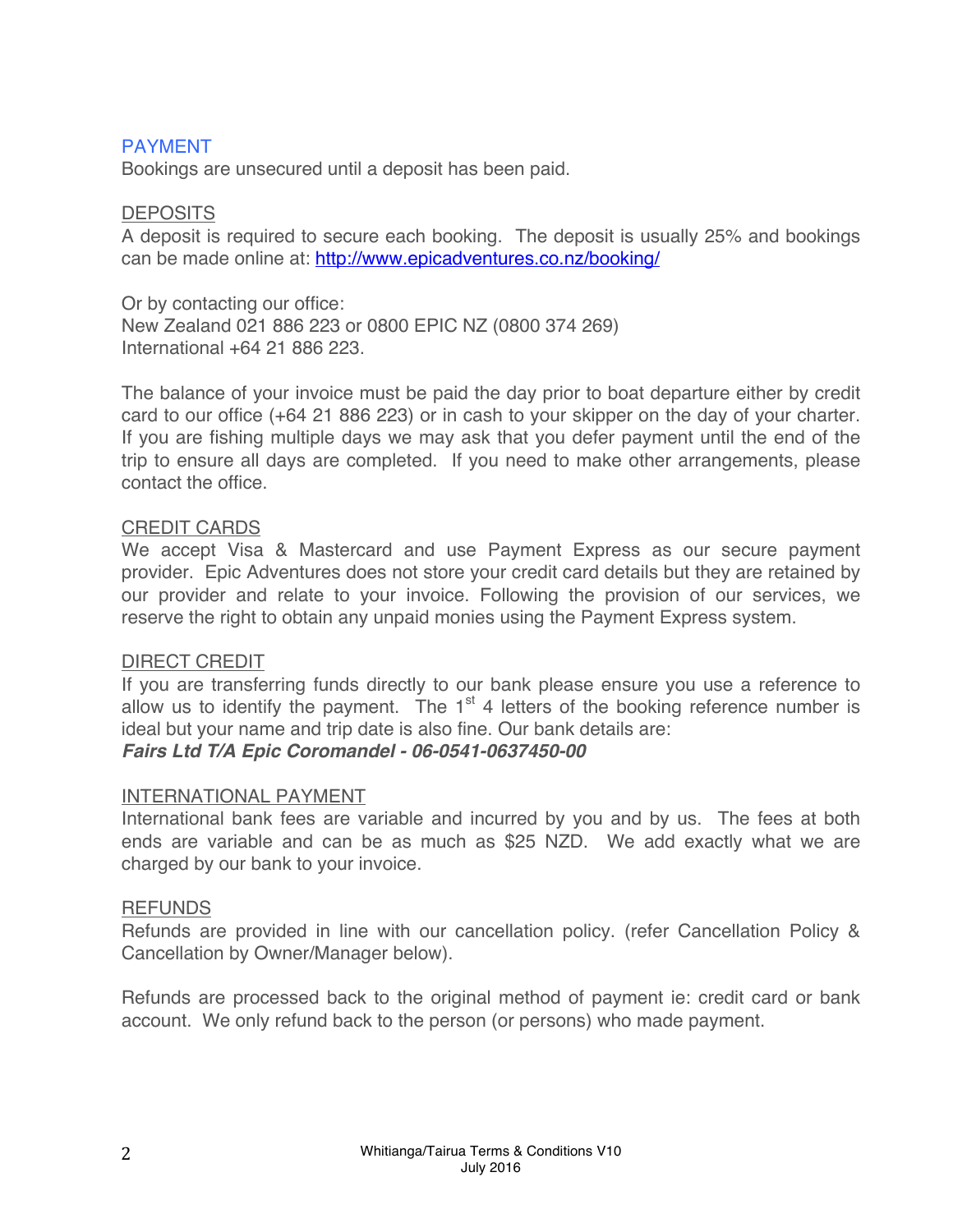## PAYMENT

Bookings are unsecured until a deposit has been paid.

#### **DEPOSITS**

A deposit is required to secure each booking. The deposit is usually 25% and bookings can be made online at: http://www.epicadventures.co.nz/booking/

Or by contacting our office: New Zealand 021 886 223 or 0800 EPIC NZ (0800 374 269) International +64 21 886 223.

The balance of your invoice must be paid the day prior to boat departure either by credit card to our office (+64 21 886 223) or in cash to your skipper on the day of your charter. If you are fishing multiple days we may ask that you defer payment until the end of the trip to ensure all days are completed. If you need to make other arrangements, please contact the office.

#### CREDIT CARDS

We accept Visa & Mastercard and use Payment Express as our secure payment provider. Epic Adventures does not store your credit card details but they are retained by our provider and relate to your invoice. Following the provision of our services, we reserve the right to obtain any unpaid monies using the Payment Express system.

## DIRECT CREDIT

If you are transferring funds directly to our bank please ensure you use a reference to allow us to identify the payment. The  $1<sup>st</sup>$  4 letters of the booking reference number is ideal but your name and trip date is also fine. Our bank details are:

# *Fairs Ltd T/A Epic Coromandel - 06-0541-0637450-00*

## INTERNATIONAL PAYMENT

International bank fees are variable and incurred by you and by us. The fees at both ends are variable and can be as much as \$25 NZD. We add exactly what we are charged by our bank to your invoice.

#### REFUNDS

Refunds are provided in line with our cancellation policy. (refer Cancellation Policy & Cancellation by Owner/Manager below).

Refunds are processed back to the original method of payment ie: credit card or bank account. We only refund back to the person (or persons) who made payment.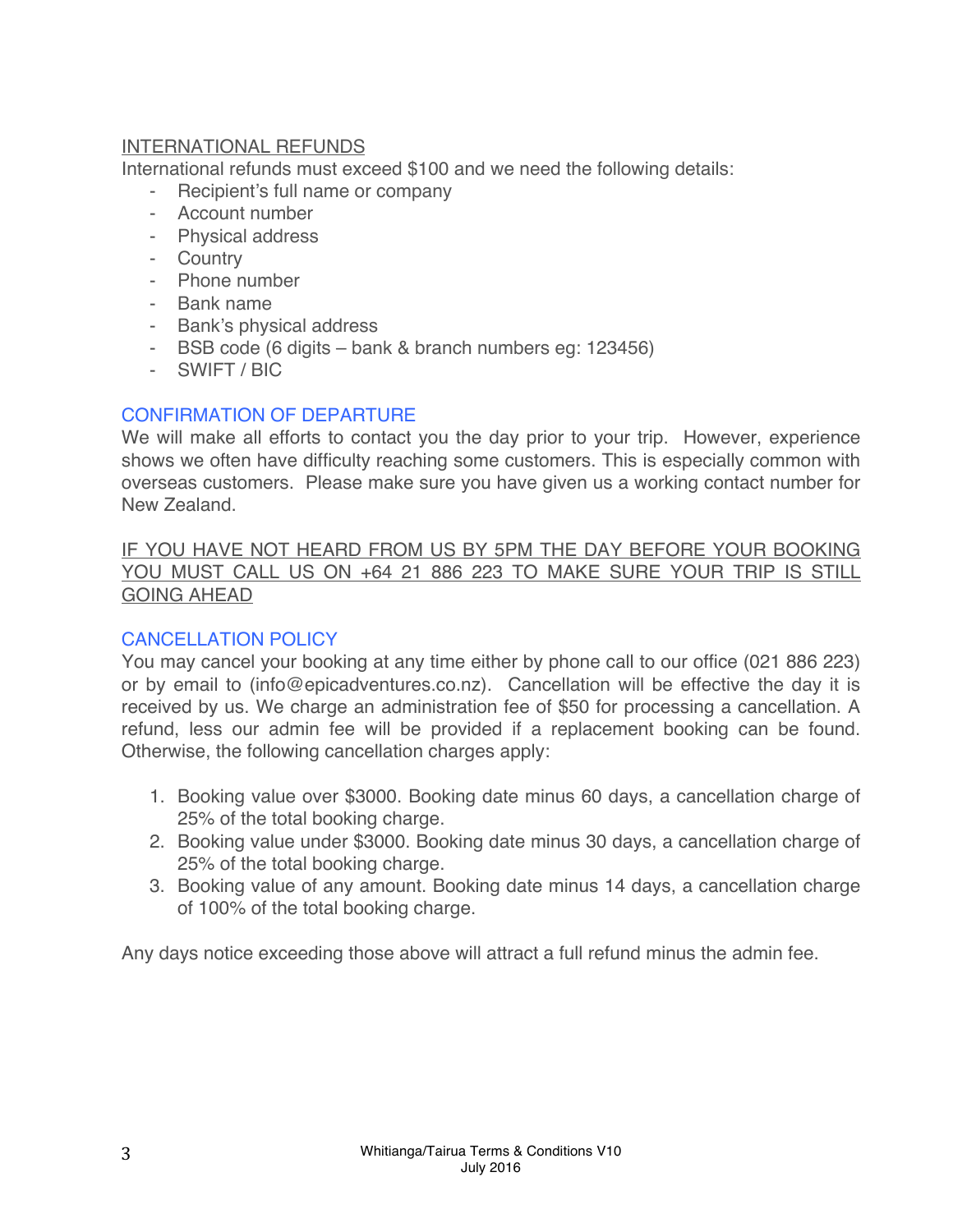# INTERNATIONAL REFUNDS

International refunds must exceed \$100 and we need the following details:

- Recipient's full name or company
- Account number
- Physical address
- Country
- Phone number
- Bank name
- Bank's physical address
- BSB code (6 digits bank & branch numbers eg: 123456)
- SWIFT / BIC

# CONFIRMATION OF DEPARTURE

We will make all efforts to contact you the day prior to your trip. However, experience shows we often have difficulty reaching some customers. This is especially common with overseas customers. Please make sure you have given us a working contact number for New Zealand.

IF YOU HAVE NOT HEARD FROM US BY 5PM THE DAY BEFORE YOUR BOOKING YOU MUST CALL US ON +64 21 886 223 TO MAKE SURE YOUR TRIP IS STILL GOING AHEAD

# CANCELLATION POLICY

You may cancel your booking at any time either by phone call to our office (021 886 223) or by email to (info@epicadventures.co.nz). Cancellation will be effective the day it is received by us. We charge an administration fee of \$50 for processing a cancellation. A refund, less our admin fee will be provided if a replacement booking can be found. Otherwise, the following cancellation charges apply:

- 1. Booking value over \$3000. Booking date minus 60 days, a cancellation charge of 25% of the total booking charge.
- 2. Booking value under \$3000. Booking date minus 30 days, a cancellation charge of 25% of the total booking charge.
- 3. Booking value of any amount. Booking date minus 14 days, a cancellation charge of 100% of the total booking charge.

Any days notice exceeding those above will attract a full refund minus the admin fee.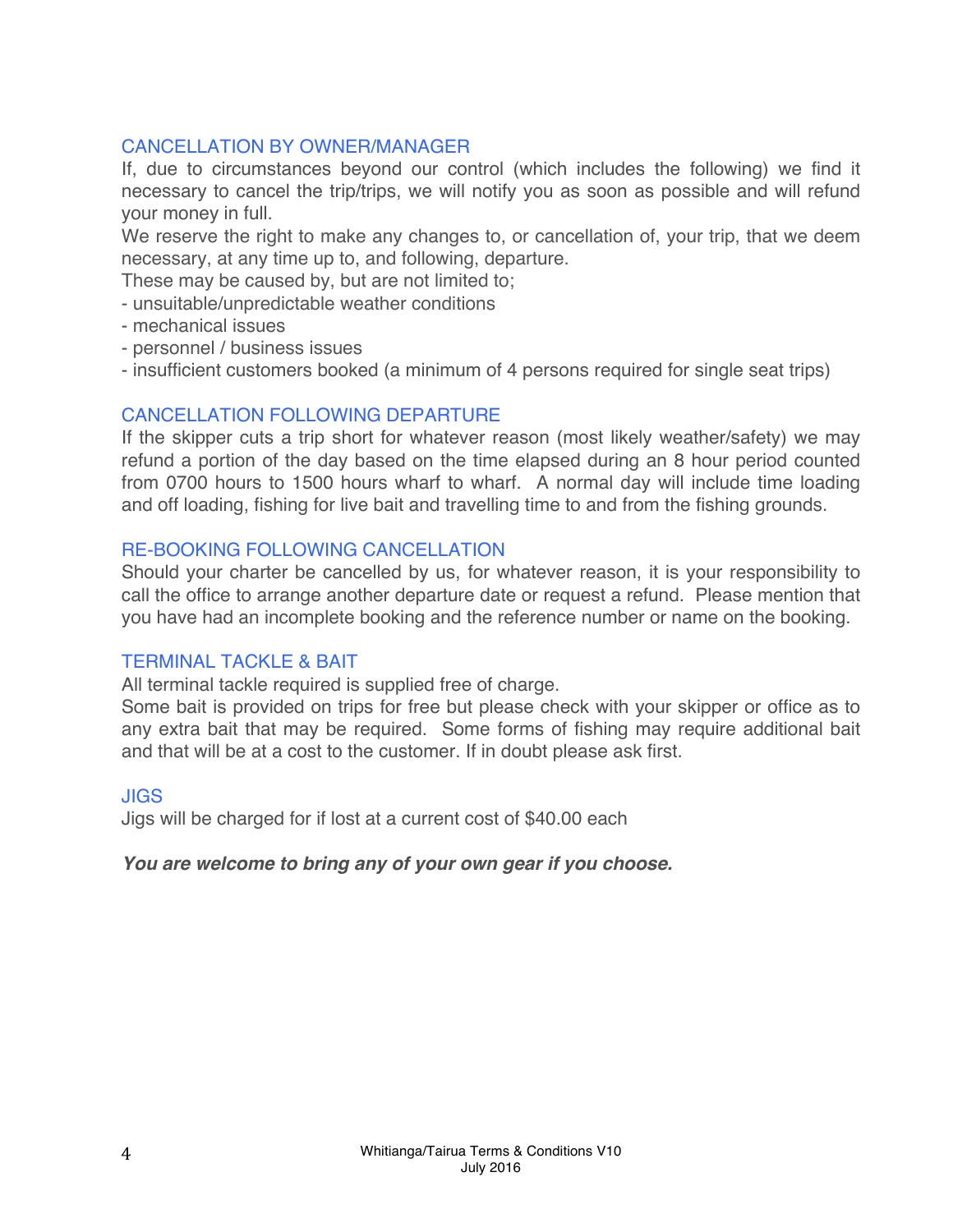# CANCELLATION BY OWNER/MANAGER

If, due to circumstances beyond our control (which includes the following) we find it necessary to cancel the trip/trips, we will notify you as soon as possible and will refund your money in full.

We reserve the right to make any changes to, or cancellation of, your trip, that we deem necessary, at any time up to, and following, departure.

These may be caused by, but are not limited to;

- unsuitable/unpredictable weather conditions

- mechanical issues
- personnel / business issues

- insufficient customers booked (a minimum of 4 persons required for single seat trips)

## CANCELLATION FOLLOWING DEPARTURE

If the skipper cuts a trip short for whatever reason (most likely weather/safety) we may refund a portion of the day based on the time elapsed during an 8 hour period counted from 0700 hours to 1500 hours wharf to wharf. A normal day will include time loading and off loading, fishing for live bait and travelling time to and from the fishing grounds.

## RE-BOOKING FOLLOWING CANCELLATION

Should your charter be cancelled by us, for whatever reason, it is your responsibility to call the office to arrange another departure date or request a refund. Please mention that you have had an incomplete booking and the reference number or name on the booking.

## TERMINAL TACKLE & BAIT

All terminal tackle required is supplied free of charge.

Some bait is provided on trips for free but please check with your skipper or office as to any extra bait that may be required. Some forms of fishing may require additional bait and that will be at a cost to the customer. If in doubt please ask first.

## JIGS

Jigs will be charged for if lost at a current cost of \$40.00 each

# *You are welcome to bring any of your own gear if you choose.*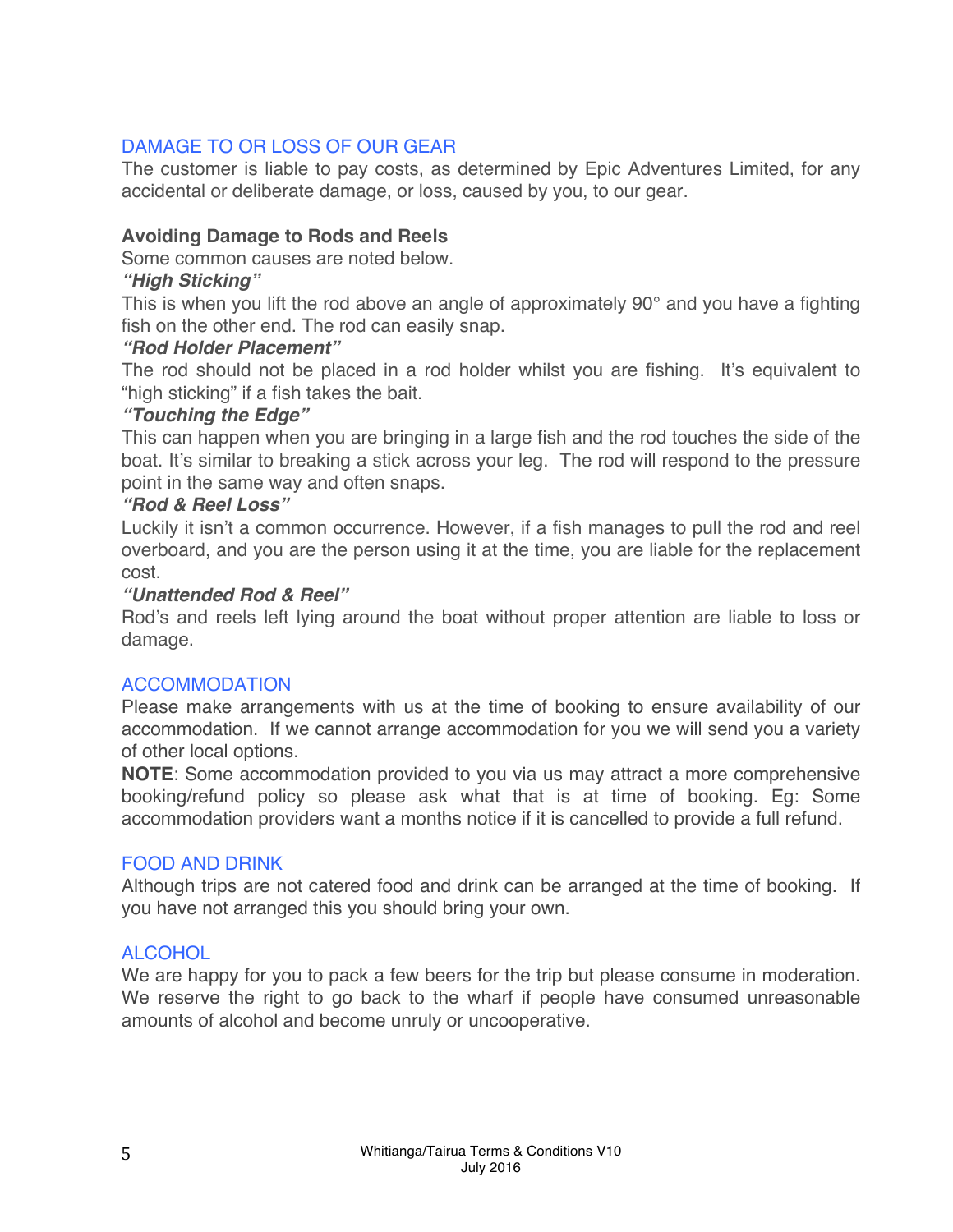# DAMAGE TO OR LOSS OF OUR GEAR

The customer is liable to pay costs, as determined by Epic Adventures Limited, for any accidental or deliberate damage, or loss, caused by you, to our gear.

# **Avoiding Damage to Rods and Reels**

Some common causes are noted below.

## *"High Sticking"*

This is when you lift the rod above an angle of approximately 90° and you have a fighting fish on the other end. The rod can easily snap.

## *"Rod Holder Placement"*

The rod should not be placed in a rod holder whilst you are fishing. It's equivalent to "high sticking" if a fish takes the bait.

## *"Touching the Edge"*

This can happen when you are bringing in a large fish and the rod touches the side of the boat. It's similar to breaking a stick across your leg. The rod will respond to the pressure point in the same way and often snaps.

## *"Rod & Reel Loss"*

Luckily it isn't a common occurrence. However, if a fish manages to pull the rod and reel overboard, and you are the person using it at the time, you are liable for the replacement cost.

## *"Unattended Rod & Reel"*

Rod's and reels left lying around the boat without proper attention are liable to loss or damage.

# ACCOMMODATION

Please make arrangements with us at the time of booking to ensure availability of our accommodation. If we cannot arrange accommodation for you we will send you a variety of other local options.

**NOTE**: Some accommodation provided to you via us may attract a more comprehensive booking/refund policy so please ask what that is at time of booking. Eg: Some accommodation providers want a months notice if it is cancelled to provide a full refund.

## FOOD AND DRINK

Although trips are not catered food and drink can be arranged at the time of booking. If you have not arranged this you should bring your own.

# **ALCOHOL**

We are happy for you to pack a few beers for the trip but please consume in moderation. We reserve the right to go back to the wharf if people have consumed unreasonable amounts of alcohol and become unruly or uncooperative.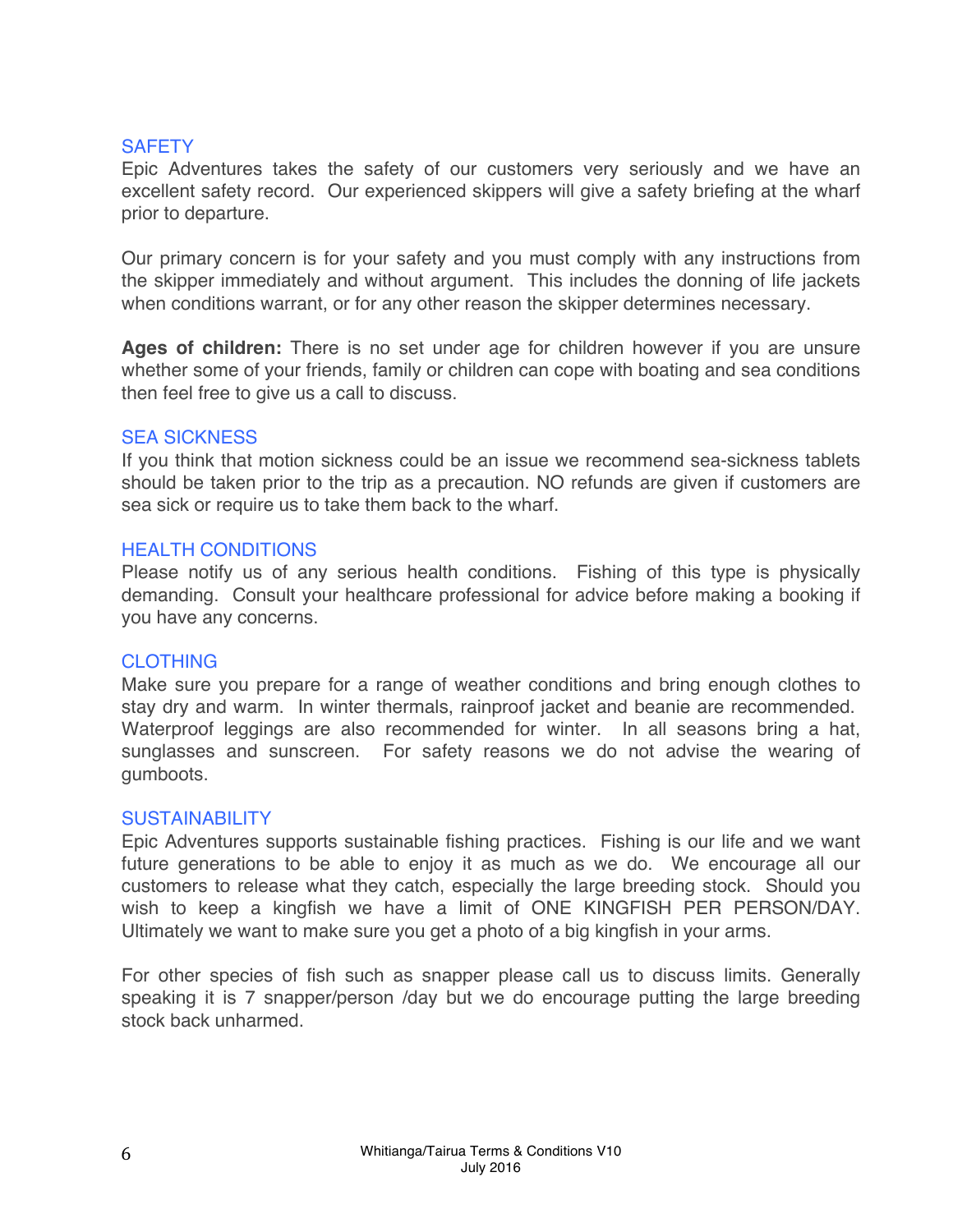## **SAFETY**

Epic Adventures takes the safety of our customers very seriously and we have an excellent safety record. Our experienced skippers will give a safety briefing at the wharf prior to departure.

Our primary concern is for your safety and you must comply with any instructions from the skipper immediately and without argument. This includes the donning of life jackets when conditions warrant, or for any other reason the skipper determines necessary.

**Ages of children:** There is no set under age for children however if you are unsure whether some of your friends, family or children can cope with boating and sea conditions then feel free to give us a call to discuss.

#### SEA SICKNESS

If you think that motion sickness could be an issue we recommend sea-sickness tablets should be taken prior to the trip as a precaution. NO refunds are given if customers are sea sick or require us to take them back to the wharf.

## HEALTH CONDITIONS

Please notify us of any serious health conditions. Fishing of this type is physically demanding. Consult your healthcare professional for advice before making a booking if you have any concerns.

## **CLOTHING**

Make sure you prepare for a range of weather conditions and bring enough clothes to stay dry and warm. In winter thermals, rainproof jacket and beanie are recommended. Waterproof leggings are also recommended for winter. In all seasons bring a hat, sunglasses and sunscreen. For safety reasons we do not advise the wearing of gumboots.

#### SUSTAINABILITY

Epic Adventures supports sustainable fishing practices. Fishing is our life and we want future generations to be able to enjoy it as much as we do. We encourage all our customers to release what they catch, especially the large breeding stock. Should you wish to keep a kingfish we have a limit of ONE KINGFISH PER PERSON/DAY. Ultimately we want to make sure you get a photo of a big kingfish in your arms.

For other species of fish such as snapper please call us to discuss limits. Generally speaking it is 7 snapper/person /day but we do encourage putting the large breeding stock back unharmed.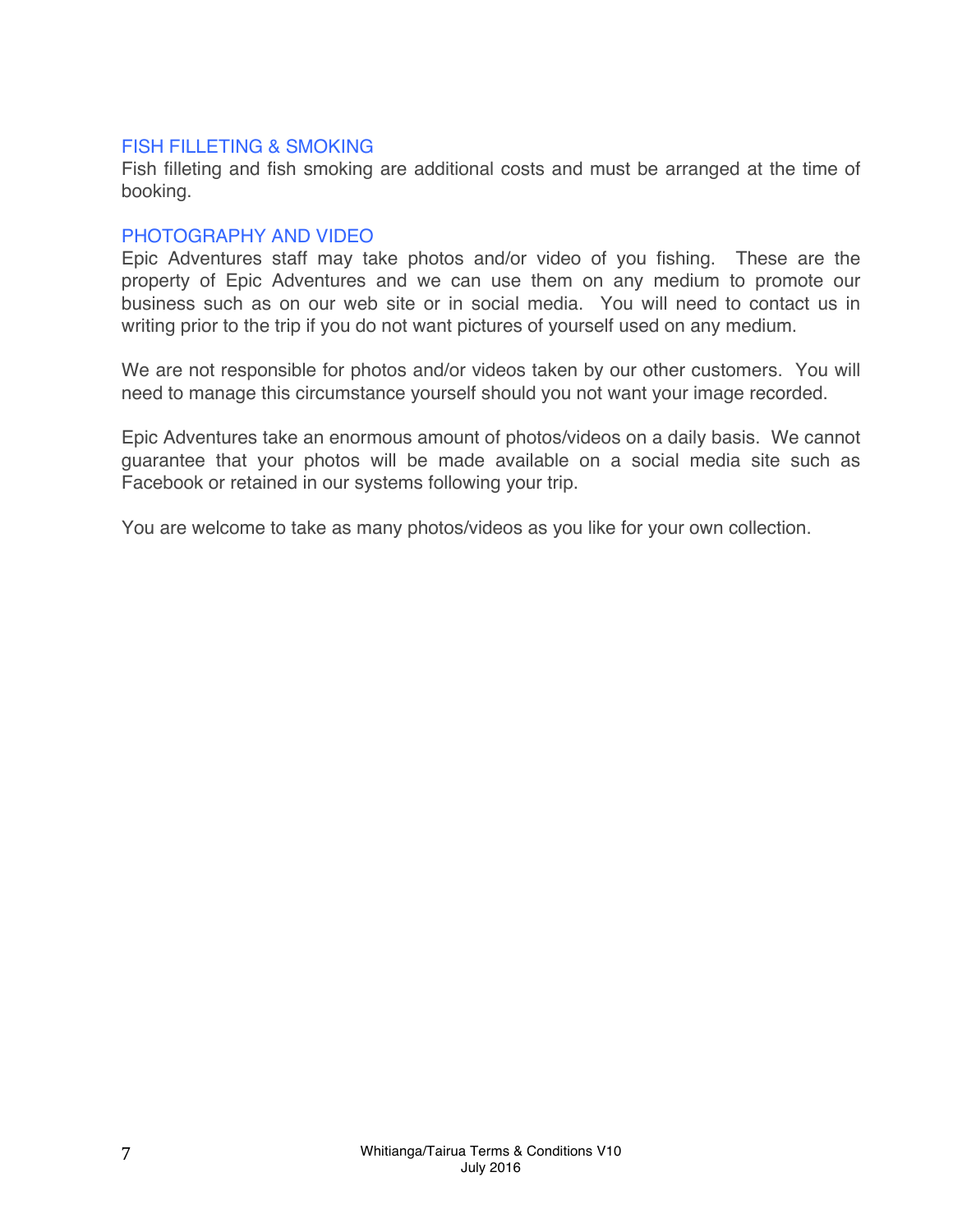#### FISH FILLETING & SMOKING

Fish filleting and fish smoking are additional costs and must be arranged at the time of booking.

#### PHOTOGRAPHY AND VIDEO

Epic Adventures staff may take photos and/or video of you fishing. These are the property of Epic Adventures and we can use them on any medium to promote our business such as on our web site or in social media. You will need to contact us in writing prior to the trip if you do not want pictures of yourself used on any medium.

We are not responsible for photos and/or videos taken by our other customers. You will need to manage this circumstance yourself should you not want your image recorded.

Epic Adventures take an enormous amount of photos/videos on a daily basis. We cannot guarantee that your photos will be made available on a social media site such as Facebook or retained in our systems following your trip.

You are welcome to take as many photos/videos as you like for your own collection.